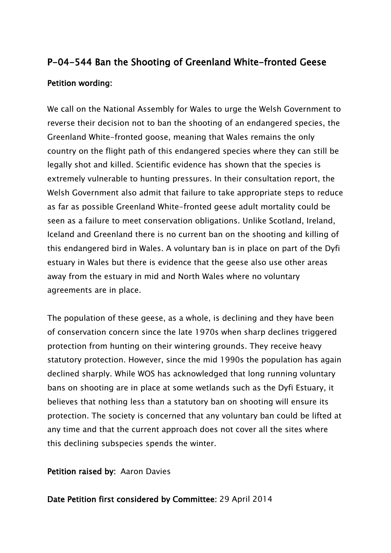## **P-04-544 Ban the Shooting of Greenland White-fronted Geese Petition wording:**

We call on the National Assembly for Wales to urge the Welsh Government to reverse their decision not to ban the shooting of an endangered species, the Greenland White-fronted goose, meaning that Wales remains the only country on the flight path of this endangered species where they can still be legally shot and killed. Scientific evidence has shown that the species is extremely vulnerable to hunting pressures. In their consultation report, the Welsh Government also admit that failure to take appropriate steps to reduce as far as possible Greenland White-fronted geese adult mortality could be seen as a failure to meet conservation obligations. Unlike Scotland, Ireland, Iceland and Greenland there is no current ban on the shooting and killing of this endangered bird in Wales. A voluntary ban is in place on part of the Dyfi estuary in Wales but there is evidence that the geese also use other areas away from the estuary in mid and North Wales where no voluntary agreements are in place.

The population of these geese, as a whole, is declining and they have been of conservation concern since the late 1970s when sharp declines triggered protection from hunting on their wintering grounds. They receive heavy statutory protection. However, since the mid 1990s the population has again declined sharply. While WOS has acknowledged that long running voluntary bans on shooting are in place at some wetlands such as the Dyfi Estuary, it believes that nothing less than a statutory ban on shooting will ensure its protection. The society is concerned that any voluntary ban could be lifted at any time and that the current approach does not cover all the sites where this declining subspecies spends the winter.

**Petition raised by:** Aaron Davies

**Date Petition first considered by Committee:** 29 April 2014